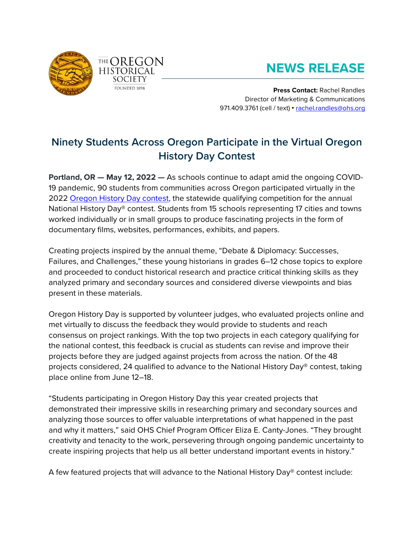

# **NEWS RELEASE**

**Press Contact:** Rachel Randles Director of Marketing & Communications 971.409.3761 (cell / text) • [rachel.randles@ohs.org](mailto:rachel.randles@ohs.org)

# **Ninety Students Across Oregon Participate in the Virtual Oregon History Day Contest**

**Portland, OR — May 12, 2022 —** As schools continue to adapt amid the ongoing COVID-19 pandemic, 90 students from communities across Oregon participated virtually in the 2022 [Oregon History Day](https://www.ohs.org/education/oregon-history-day/index.cfm) contest, the statewide qualifying competition for the annual National History Day® contest. Students from 15 schools representing 17 cities and towns worked individually or in small groups to produce fascinating projects in the form of documentary films, websites, performances, exhibits, and papers.

Creating projects inspired by the annual theme, "Debate & Diplomacy: Successes, Failures, and Challenges," these young historians in grades 6–12 chose topics to explore and proceeded to conduct historical research and practice critical thinking skills as they analyzed primary and secondary sources and considered diverse viewpoints and bias present in these materials.

Oregon History Day is supported by volunteer judges, who evaluated projects online and met virtually to discuss the feedback they would provide to students and reach consensus on project rankings. With the top two projects in each category qualifying for the national contest, this feedback is crucial as students can revise and improve their projects before they are judged against projects from across the nation. Of the 48 projects considered, 24 qualified to advance to the National History Day® contest, taking place online from June 12–18.

"Students participating in Oregon History Day this year created projects that demonstrated their impressive skills in researching primary and secondary sources and analyzing those sources to offer valuable interpretations of what happened in the past and why it matters," said OHS Chief Program Officer Eliza E. Canty-Jones. "They brought creativity and tenacity to the work, persevering through ongoing pandemic uncertainty to create inspiring projects that help us all better understand important events in history."

A few featured projects that will advance to the National History Day® contest include: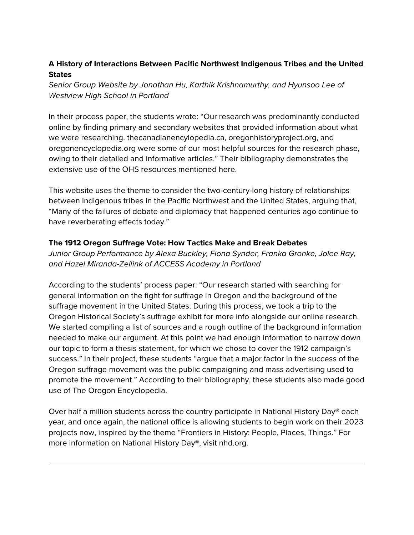## **A History of Interactions Between Pacific Northwest Indigenous Tribes and the United States**

*Senior Group Website by Jonathan Hu, Karthik Krishnamurthy, and Hyunsoo Lee of Westview High School in Portland*

In their process paper, the students wrote: "Our research was predominantly conducted online by finding primary and secondary websites that provided information about what we were researching. thecanadianencylopedia.ca, oregonhistoryproject.org, and oregonencyclopedia.org were some of our most helpful sources for the research phase, owing to their detailed and informative articles." Their bibliography demonstrates the extensive use of the OHS resources mentioned here.

This website uses the theme to consider the two-century-long history of relationships between Indigenous tribes in the Pacific Northwest and the United States, arguing that, "Many of the failures of debate and diplomacy that happened centuries ago continue to have reverberating effects today."

### **The 1912 Oregon Suffrage Vote: How Tactics Make and Break Debates**

*Junior Group Performance by Alexa Buckley, Fiona Synder, Franka Gronke, Jolee Ray, and Hazel Miranda-Zellink of ACCESS Academy in Portland*

According to the students' process paper: "Our research started with searching for general information on the fight for suffrage in Oregon and the background of the suffrage movement in the United States. During this process, we took a trip to the Oregon Historical Society's suffrage exhibit for more info alongside our online research. We started compiling a list of sources and a rough outline of the background information needed to make our argument. At this point we had enough information to narrow down our topic to form a thesis statement, for which we chose to cover the 1912 campaign's success." In their project, these students "argue that a major factor in the success of the Oregon suffrage movement was the public campaigning and mass advertising used to promote the movement." According to their bibliography, these students also made good use of The Oregon Encyclopedia.

Over half a million students across the country participate in National History Day® each year, and once again, the national office is allowing students to begin work on their 2023 projects now, inspired by the theme "Frontiers in History: People, Places, Things." For more information on National History Day®, visit nhd.org.